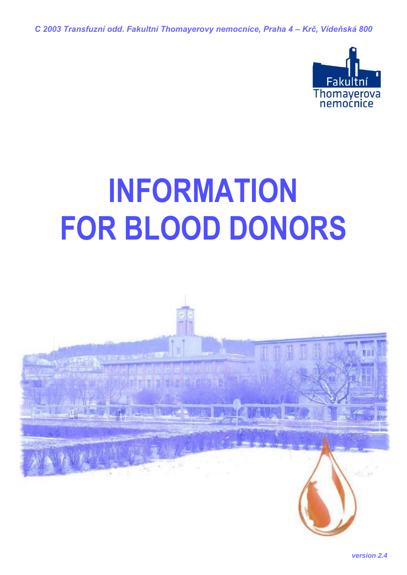*C 2003 Transfuzní odd. Fakultní Thomayerovy nemocnice, Praha 4 – Krč, Vídeňská 800*



# **INFORMATION FOR BLOOD DONORS**

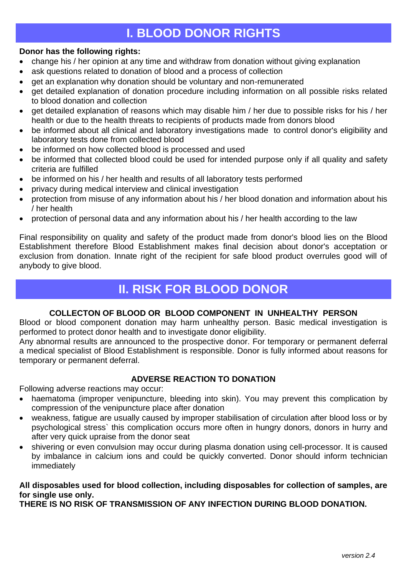## **I. BLOOD DONOR RIGHTS**

## **Donor has the following rights:**

- change his / her opinion at any time and withdraw from donation without giving explanation
- ask questions related to donation of blood and a process of collection
- get an explanation why donation should be voluntary and non-remunerated
- get detailed explanation of donation procedure including information on all possible risks related to blood donation and collection
- get detailed explanation of reasons which may disable him / her due to possible risks for his / her health or due to the health threats to recipients of products made from donors blood
- be informed about all clinical and laboratory investigations made to control donor's eligibility and laboratory tests done from collected blood
- be informed on how collected blood is processed and used
- be informed that collected blood could be used for intended purpose only if all quality and safety criteria are fulfilled
- be informed on his / her health and results of all laboratory tests performed
- privacy during medical interview and clinical investigation
- protection from misuse of any information about his / her blood donation and information about his / her health
- protection of personal data and any information about his / her health according to the law

Final responsibility on quality and safety of the product made from donor's blood lies on the Blood Establishment therefore Blood Establishment makes final decision about donor's acceptation or exclusion from donation. Innate right of the recipient for safe blood product overrules good will of anybody to give blood.

## **II. RISK FOR BLOOD DONOR**

#### **COLLECTON OF BLOOD OR BLOOD COMPONENT IN UNHEALTHY PERSON**

Blood or blood component donation may harm unhealthy person. Basic medical investigation is performed to protect donor health and to investigate donor eligibility.

Any abnormal results are announced to the prospective donor. For temporary or permanent deferral a medical specialist of Blood Establishment is responsible. Donor is fully informed about reasons for temporary or permanent deferral.

#### **ADVERSE REACTION TO DONATION**

Following adverse reactions may occur:

- haematoma (improper venipuncture, bleeding into skin). You may prevent this complication by compression of the venipuncture place after donation
- weakness, fatigue are usually caused by improper stabilisation of circulation after blood loss or by psychological stress` this complication occurs more often in hungry donors, donors in hurry and after very quick upraise from the donor seat
- shivering or even convulsion may occur during plasma donation using cell-processor. It is caused by imbalance in calcium ions and could be quickly converted. Donor should inform technician immediately

## **All disposables used for blood collection, including disposables for collection of samples, are for single use only.**

**THERE IS NO RISK OF TRANSMISSION OF ANY INFECTION DURING BLOOD DONATION.**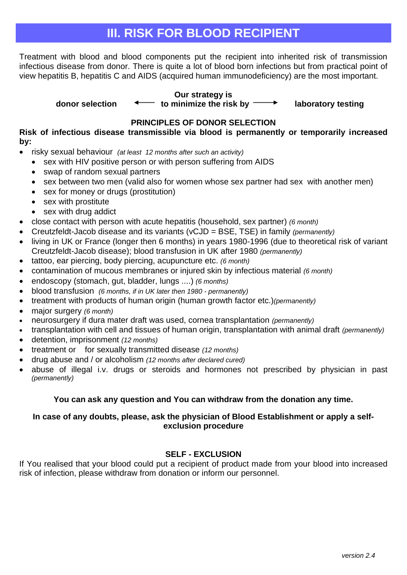## **III. RISK FOR BLOOD RECIPIENT**

Treatment with blood and blood components put the recipient into inherited risk of transmission infectious disease from donor. There is quite a lot of blood born infections but from practical point of view hepatitis B, hepatitis C and AIDS (acquired human immunodeficiency) are the most important.

**Our strategy is** 

 **donor selection to minimize the risk by laboratory testing**

## **PRINCIPLES OF DONOR SELECTION**

**Risk of infectious disease transmissible via blood is permanently or temporarily increased by:** 

- risky sexual behaviour *(at least 12 months after such an activity)*
	- sex with HIV positive person or with person suffering from AIDS
	- swap of random sexual partners
	- sex between two men (valid also for women whose sex partner had sex with another men)
	- sex for money or drugs (prostitution)
	- sex with prostitute
	- sex with drug addict
- close contact with person with acute hepatitis (household, sex partner) *(6 month)*
- Creutzfeldt-Jacob disease and its variants (vCJD = BSE, TSE) in family *(permanently)*
- living in UK or France (longer then 6 months) in years 1980-1996 (due to theoretical risk of variant Creutzfeldt-Jacob disease); blood transfusion in UK after 1980 *(permanently)*
- tattoo, ear piercing, body piercing, acupuncture etc. *(6 month)*
- contamination of mucous membranes or injured skin by infectious material *(6 month)*
- endoscopy (stomach, gut, bladder, lungs ....) *(6 months)*
- blood transfusion *(6 months, if in UK later then 1980 - permanently)*
- treatment with products of human origin (human growth factor etc.)*(permanently)*
- major surgery *(6 month)*
- neurosurgery if dura mater draft was used, cornea transplantation *(permanently)*
- transplantation with cell and tissues of human origin, transplantation with animal draft *(permanently)*
- detention, imprisonment *(12 months)*
- treatment or for sexually transmitted disease *(12 months)*
- drug abuse and / or alcoholism *(12 months after declared cured)*
- abuse of illegal i.v. drugs or steroids and hormones not prescribed by physician in past *(permanently)*

## **You can ask any question and You can withdraw from the donation any time.**

## **In case of any doubts, please, ask the physician of Blood Establishment or apply a selfexclusion procedure**

## **SELF - EXCLUSION**

If You realised that your blood could put a recipient of product made from your blood into increased risk of infection, please withdraw from donation or inform our personnel.